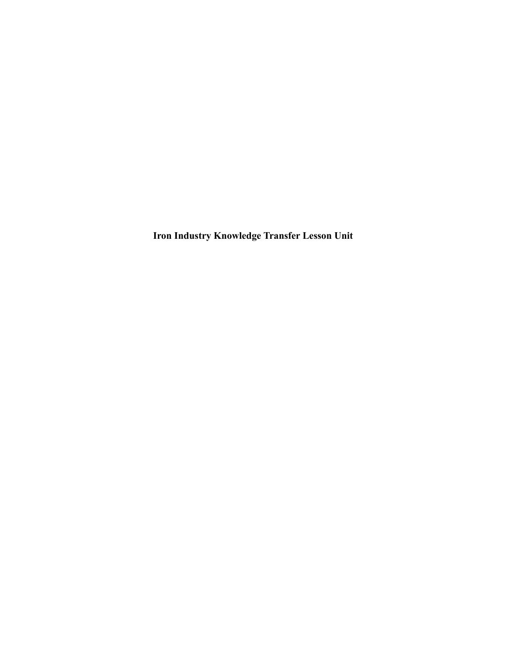**Iron Industry Knowledge Transfer Lesson Unit**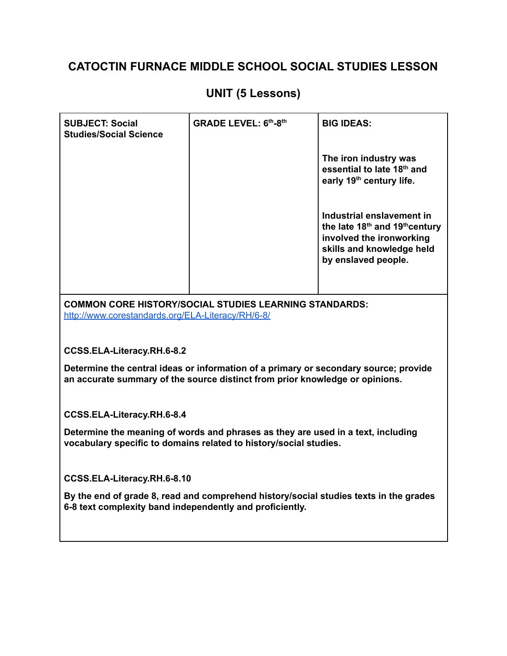# **UNIT (5 Lessons)**

| <b>SUBJECT: Social</b><br><b>Studies/Social Science</b>                                                                                                              | <b>GRADE LEVEL: 6th-8th</b>                                   | <b>BIG IDEAS:</b>                                                                                                                                                   |  |
|----------------------------------------------------------------------------------------------------------------------------------------------------------------------|---------------------------------------------------------------|---------------------------------------------------------------------------------------------------------------------------------------------------------------------|--|
|                                                                                                                                                                      |                                                               | The iron industry was<br>essential to late 18th and<br>early 19 <sup>th</sup> century life.                                                                         |  |
|                                                                                                                                                                      |                                                               | Industrial enslavement in<br>the late 18 <sup>th</sup> and 19 <sup>th</sup> century<br>involved the ironworking<br>skills and knowledge held<br>by enslaved people. |  |
|                                                                                                                                                                      | <b>COMMON CORE HISTORY/SOCIAL STUDIES LEARNING STANDARDS:</b> |                                                                                                                                                                     |  |
| http://www.corestandards.org/ELA-Literacy/RH/6-8/                                                                                                                    |                                                               |                                                                                                                                                                     |  |
|                                                                                                                                                                      |                                                               |                                                                                                                                                                     |  |
| CCSS.ELA-Literacy.RH.6-8.2                                                                                                                                           |                                                               |                                                                                                                                                                     |  |
| Determine the central ideas or information of a primary or secondary source; provide<br>an accurate summary of the source distinct from prior knowledge or opinions. |                                                               |                                                                                                                                                                     |  |
| CCSS.ELA-Literacy.RH.6-8.4                                                                                                                                           |                                                               |                                                                                                                                                                     |  |
| Determine the meaning of words and phrases as they are used in a text, including<br>vocabulary specific to domains related to history/social studies.                |                                                               |                                                                                                                                                                     |  |
| CCSS.ELA-Literacy.RH.6-8.10                                                                                                                                          |                                                               |                                                                                                                                                                     |  |
| By the end of grade 8, read and comprehend history/social studies texts in the grades<br>6-8 text complexity band independently and proficiently.                    |                                                               |                                                                                                                                                                     |  |
|                                                                                                                                                                      |                                                               |                                                                                                                                                                     |  |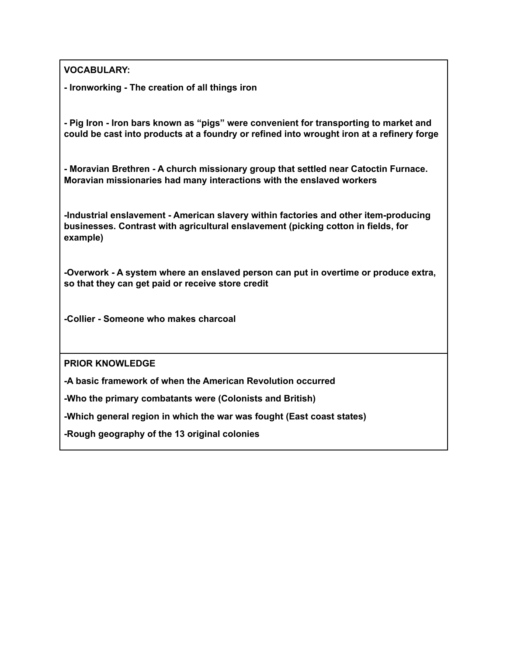**VOCABULARY:**

**- Ironworking - The creation of all things iron**

**- Pig Iron - Iron bars known as "pigs" were convenient for transporting to market and could be cast into products at a foundry or refined into wrought iron at a refinery forge**

**- Moravian Brethren - A church missionary group that settled near Catoctin Furnace. Moravian missionaries had many interactions with the enslaved workers**

**-Industrial enslavement - American slavery within factories and other item-producing businesses. Contrast with agricultural enslavement (picking cotton in fields, for example)**

**-Overwork - A system where an enslaved person can put in overtime or produce extra, so that they can get paid or receive store credit**

**-Collier - Someone who makes charcoal**

**PRIOR KNOWLEDGE**

**-A basic framework of when the American Revolution occurred**

**-Who the primary combatants were (Colonists and British)**

**-Which general region in which the war was fought (East coast states)**

**-Rough geography of the 13 original colonies**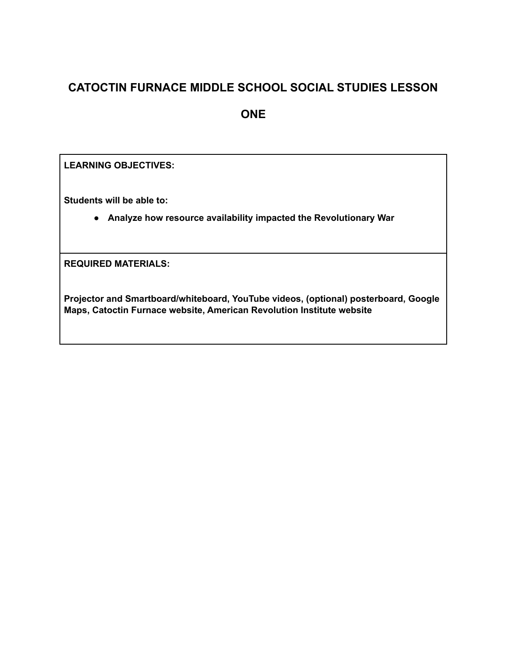**ONE**

**LEARNING OBJECTIVES:**

**Students will be able to:**

● **Analyze how resource availability impacted the Revolutionary War**

**REQUIRED MATERIALS:**

**Projector and Smartboard/whiteboard, YouTube videos, (optional) posterboard, Google Maps, Catoctin Furnace website, American Revolution Institute website**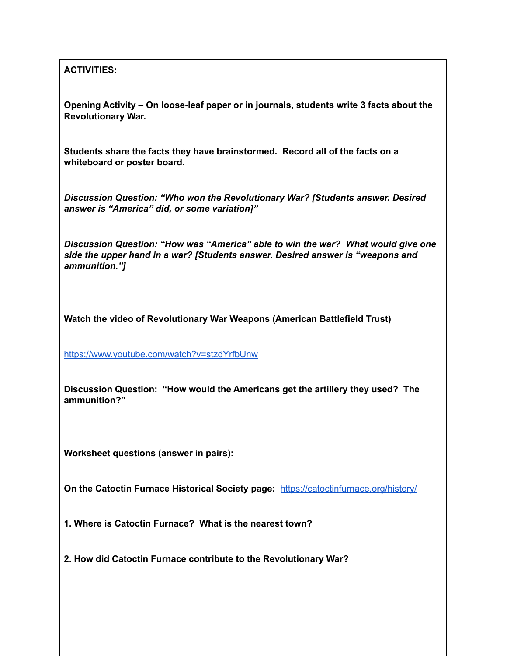#### **ACTIVITIES:**

**Opening Activity – On loose-leaf paper or in journals, students write 3 facts about the Revolutionary War.**

**Students share the facts they have brainstormed. Record all of the facts on a whiteboard or poster board.**

*Discussion Question: "Who won the Revolutionary War? [Students answer. Desired answer is "America" did, or some variation]"*

*Discussion Question: "How was "America" able to win the war? What would give one side the upper hand in a war? [Students answer. Desired answer is "weapons and ammunition."]*

**Watch the video of Revolutionary War Weapons (American Battlefield Trust)**

<https://www.youtube.com/watch?v=stzdYrfbUnw>

**Discussion Question: "How would the Americans get the artillery they used? The ammunition?"**

**Worksheet questions (answer in pairs):**

**On the Catoctin Furnace Historical Society page:** <https://catoctinfurnace.org/history/>

**1. Where is Catoctin Furnace? What is the nearest town?**

**2. How did Catoctin Furnace contribute to the Revolutionary War?**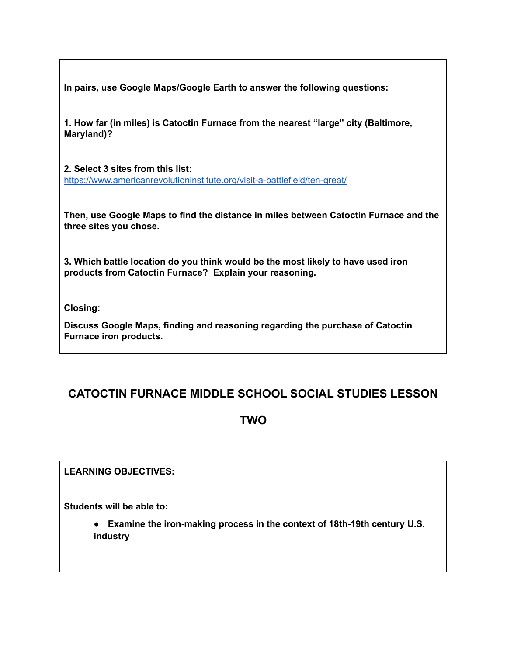**In pairs, use Google Maps/Google Earth to answer the following questions:**

**1. How far (in miles) is Catoctin Furnace from the nearest "large" city (Baltimore, Maryland)?**

**2. Select 3 sites from this list:** <https://www.americanrevolutioninstitute.org/visit-a-battlefield/ten-great/>

**Then, use Google Maps to find the distance in miles between Catoctin Furnace and the three sites you chose.**

**3. Which battle location do you think would be the most likely to have used iron products from Catoctin Furnace? Explain your reasoning.**

**Closing:**

**Discuss Google Maps, finding and reasoning regarding the purchase of Catoctin Furnace iron products.**

# **CATOCTIN FURNACE MIDDLE SCHOOL SOCIAL STUDIES LESSON**

#### **TWO**

**LEARNING OBJECTIVES:**

**Students will be able to:**

● **Examine the iron-making process in the context of 18th-19th century U.S. industry**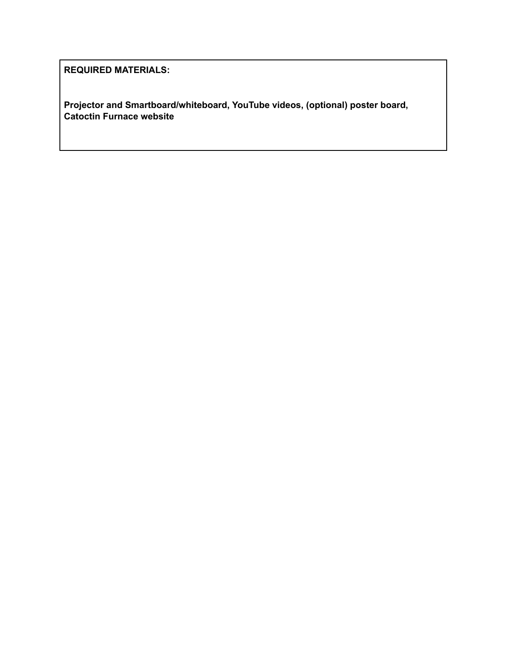**REQUIRED MATERIALS:**

**Projector and Smartboard/whiteboard, YouTube videos, (optional) poster board, Catoctin Furnace website**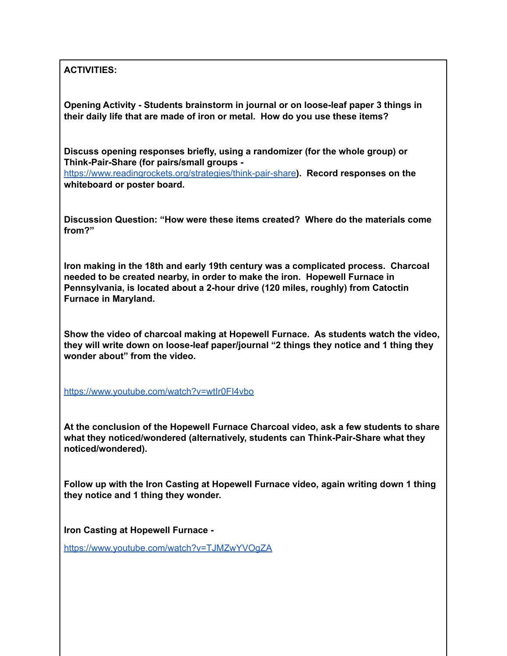**ACTIVITIES:**

**Opening Activity - Students brainstorm in journal or on loose-leaf paper 3 things in their daily life that are made of iron or metal. How do you use these items?**

**Discuss opening responses briefly, using a randomizer (for the whole group) or Think-Pair-Share (for pairs/small groups -**

<https://www.readingrockets.org/strategies/think-pair-share>**). Record responses on the whiteboard or poster board.**

**Discussion Question: "How were these items created? Where do the materials come from?"**

**Iron making in the 18th and early 19th century was a complicated process. Charcoal needed to be created nearby, in order to make the iron. Hopewell Furnace in Pennsylvania, is located about a 2-hour drive (120 miles, roughly) from Catoctin Furnace in Maryland.**

**Show the video of charcoal making at Hopewell Furnace. As students watch the video, they will write down on loose-leaf paper/journal "2 things they notice and 1 thing they wonder about" from the video.**

<https://www.youtube.com/watch?v=wtIr0FI4vbo>

**At the conclusion of the Hopewell Furnace Charcoal video, ask a few students to share what they noticed/wondered (alternatively, students can Think-Pair-Share what they noticed/wondered).**

**Follow up with the Iron Casting at Hopewell Furnace video, again writing down 1 thing they notice and 1 thing they wonder.**

**Iron Casting at Hopewell Furnace -**

<https://www.youtube.com/watch?v=TJMZwYVOgZA>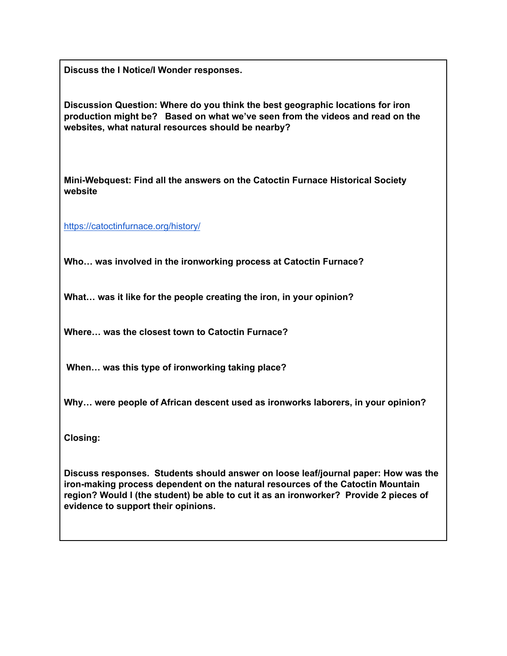**Discuss the I Notice/I Wonder responses.**

**Discussion Question: Where do you think the best geographic locations for iron production might be? Based on what we've seen from the videos and read on the websites, what natural resources should be nearby?**

**Mini-Webquest: Find all the answers on the Catoctin Furnace Historical Society website**

<https://catoctinfurnace.org/history/>

**Who… was involved in the ironworking process at Catoctin Furnace?**

**What… was it like for the people creating the iron, in your opinion?**

**Where… was the closest town to Catoctin Furnace?**

**When… was this type of ironworking taking place?**

**Why… were people of African descent used as ironworks laborers, in your opinion?**

**Closing:**

**Discuss responses. Students should answer on loose leaf/journal paper: How was the iron-making process dependent on the natural resources of the Catoctin Mountain region? Would I (the student) be able to cut it as an ironworker? Provide 2 pieces of evidence to support their opinions.**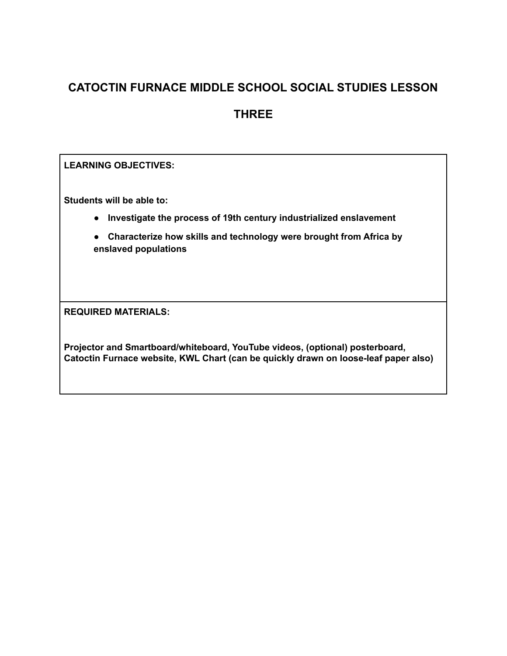#### **THREE**

**LEARNING OBJECTIVES:**

**Students will be able to:**

- **Investigate the process of 19th century industrialized enslavement**
- **Characterize how skills and technology were brought from Africa by enslaved populations**

**REQUIRED MATERIALS:**

**Projector and Smartboard/whiteboard, YouTube videos, (optional) posterboard, Catoctin Furnace website, KWL Chart (can be quickly drawn on loose-leaf paper also)**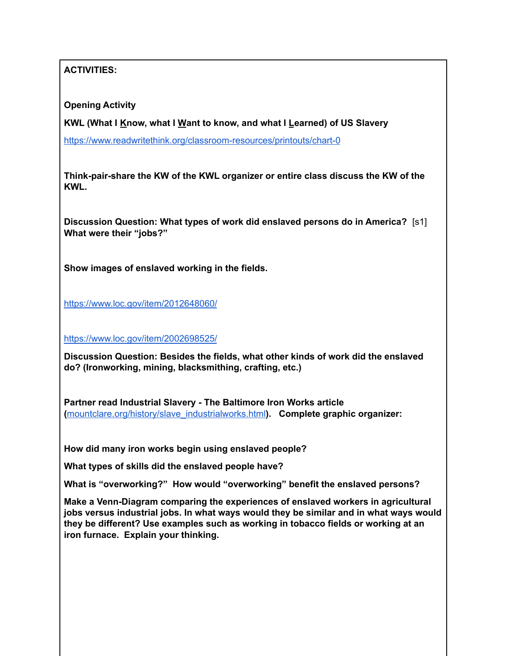**ACTIVITIES:**

**Opening Activity**

**KWL (What I Know, what I Want to know, and what I Learned) of US Slavery**

<https://www.readwritethink.org/classroom-resources/printouts/chart-0>

**Think-pair-share the KW of the KWL organizer or entire class discuss the KW of the KWL.**

**Discussion Question: What types of work did enslaved persons do in America?** [s1] **What were their "jobs?"**

**Show images of enslaved working in the fields.**

<https://www.loc.gov/item/2012648060/>

<https://www.loc.gov/item/2002698525/>

**Discussion Question: Besides the fields, what other kinds of work did the enslaved do? (Ironworking, mining, blacksmithing, crafting, etc.)**

**Partner read Industrial Slavery - The Baltimore Iron Works article (**[mountclare.org/history/slave\\_industrialworks.html](http://mountclare.org/history/slave_industrialworks.html)**). Complete graphic organizer:**

**How did many iron works begin using enslaved people?**

**What types of skills did the enslaved people have?**

**What is "overworking?" How would "overworking" benefit the enslaved persons?**

**Make a Venn-Diagram comparing the experiences of enslaved workers in agricultural jobs versus industrial jobs. In what ways would they be similar and in what ways would they be different? Use examples such as working in tobacco fields or working at an iron furnace. Explain your thinking.**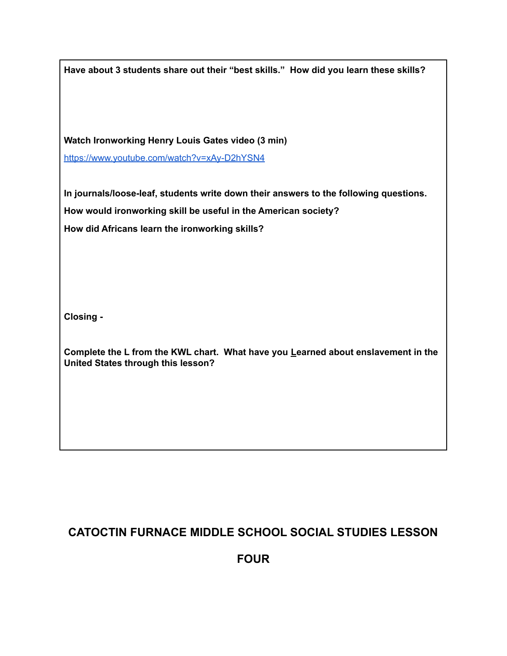| Have about 3 students share out their "best skills." How did you learn these skills?                                                                    |
|---------------------------------------------------------------------------------------------------------------------------------------------------------|
| Watch Ironworking Henry Louis Gates video (3 min)                                                                                                       |
| https://www.youtube.com/watch?v=xAy-D2hYSN4                                                                                                             |
| In journals/loose-leaf, students write down their answers to the following questions.<br>How would ironworking skill be useful in the American society? |
| How did Africans learn the ironworking skills?                                                                                                          |
|                                                                                                                                                         |
| Closing -                                                                                                                                               |
| Complete the L from the KWL chart. What have you Learned about enslavement in the<br>United States through this lesson?                                 |
|                                                                                                                                                         |
|                                                                                                                                                         |
|                                                                                                                                                         |

**FOUR**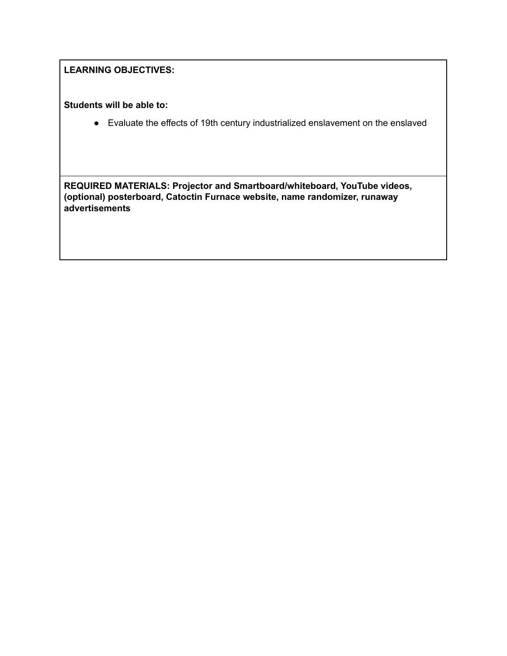#### **LEARNING OBJECTIVES:**

**Students will be able to:**

● Evaluate the effects of 19th century industrialized enslavement on the enslaved

**REQUIRED MATERIALS: Projector and Smartboard/whiteboard, YouTube videos, (optional) posterboard, Catoctin Furnace website, name randomizer, runaway advertisements**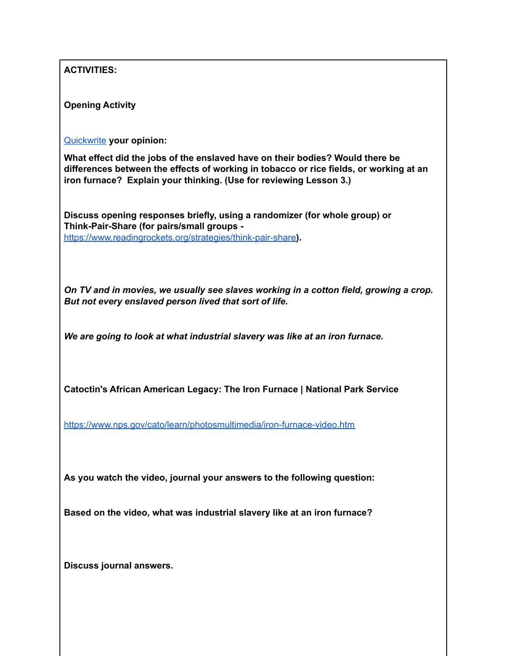| <b>ACTIVITIES:</b>                                                                                                                                                                                                                            |
|-----------------------------------------------------------------------------------------------------------------------------------------------------------------------------------------------------------------------------------------------|
| <b>Opening Activity</b>                                                                                                                                                                                                                       |
| Quickwrite your opinion:                                                                                                                                                                                                                      |
| What effect did the jobs of the enslaved have on their bodies? Would there be<br>differences between the effects of working in tobacco or rice fields, or working at an<br>iron furnace? Explain your thinking. (Use for reviewing Lesson 3.) |
| Discuss opening responses briefly, using a randomizer (for whole group) or<br>Think-Pair-Share (for pairs/small groups -<br>https://www.readingrockets.org/strategies/think-pair-share).                                                      |
| On TV and in movies, we usually see slaves working in a cotton field, growing a crop.<br>But not every enslaved person lived that sort of life.                                                                                               |
| We are going to look at what industrial slavery was like at an iron furnace.                                                                                                                                                                  |
| Catoctin's African American Legacy: The Iron Furnace   National Park Service                                                                                                                                                                  |
| https://www.nps.gov/cato/learn/photosmultimedia/iron-furnace-video.htm                                                                                                                                                                        |
| As you watch the video, journal your answers to the following question:                                                                                                                                                                       |
| Based on the video, what was industrial slavery like at an iron furnace?                                                                                                                                                                      |
| Discuss journal answers.                                                                                                                                                                                                                      |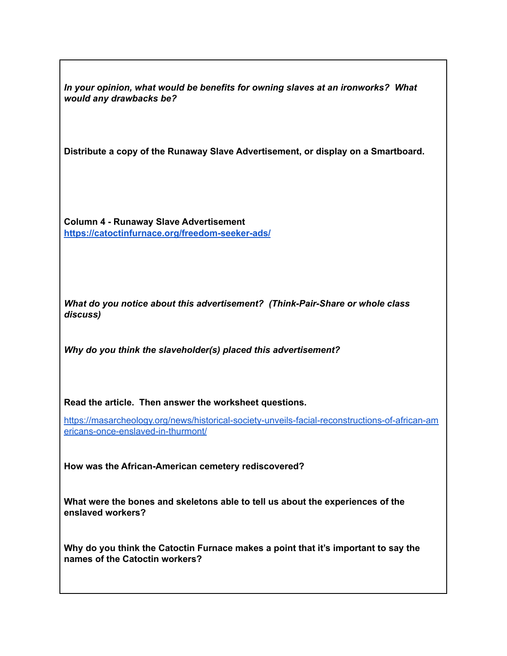*In your opinion, what would be benefits for owning slaves at an ironworks? What would any drawbacks be?*

**Distribute a copy of the Runaway Slave Advertisement, or display on a Smartboard.**

**Column 4 - Runaway Slave Advertisement <https://catoctinfurnace.org/freedom-seeker-ads/>**

*What do you notice about this advertisement? (Think-Pair-Share or whole class discuss)*

*Why do you think the slaveholder(s) placed this advertisement?*

**Read the article. Then answer the worksheet questions.**

[https://masarcheology.org/news/historical-society-unveils-facial-reconstructions-of-african-am](https://masarcheology.org/news/historical-society-unveils-facial-reconstructions-of-african-americans-once-enslaved-in-thurmont/) [ericans-once-enslaved-in-thurmont/](https://masarcheology.org/news/historical-society-unveils-facial-reconstructions-of-african-americans-once-enslaved-in-thurmont/)

**How was the African-American cemetery rediscovered?**

**What were the bones and skeletons able to tell us about the experiences of the enslaved workers?**

**Why do you think the Catoctin Furnace makes a point that it's important to say the names of the Catoctin workers?**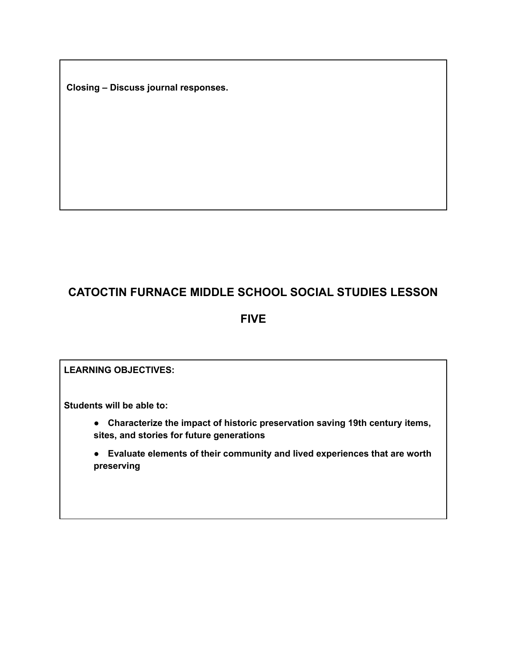**Closing – Discuss journal responses.**

# **CATOCTIN FURNACE MIDDLE SCHOOL SOCIAL STUDIES LESSON**

#### **FIVE**

#### **LEARNING OBJECTIVES:**

**Students will be able to:**

● **Characterize the impact of historic preservation saving 19th century items, sites, and stories for future generations**

● **Evaluate elements of their community and lived experiences that are worth preserving**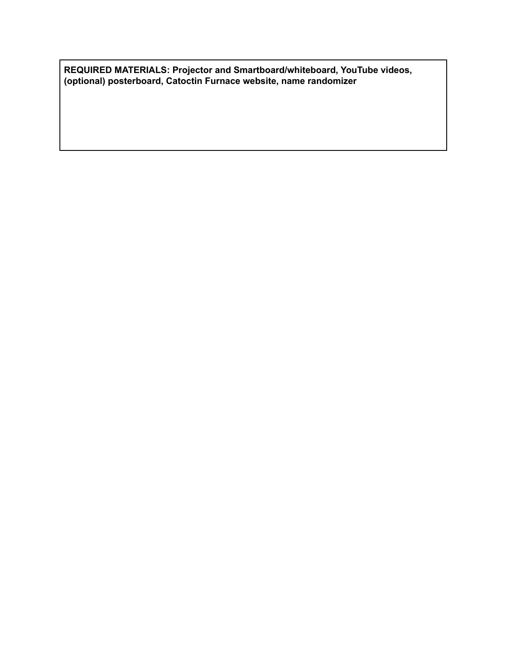**REQUIRED MATERIALS: Projector and Smartboard/whiteboard, YouTube videos, (optional) posterboard, Catoctin Furnace website, name randomizer**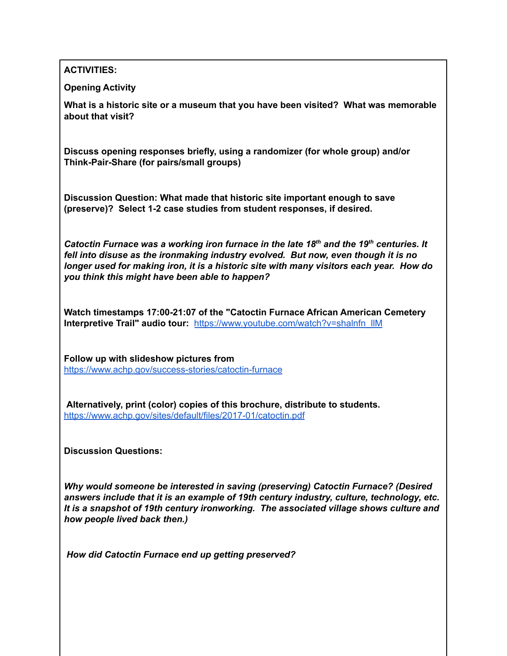**ACTIVITIES:**

**Opening Activity**

**What is a historic site or a museum that you have been visited? What was memorable about that visit?**

**Discuss opening responses briefly, using a randomizer (for whole group) and/or Think-Pair-Share (for pairs/small groups)**

**Discussion Question: What made that historic site important enough to save (preserve)? Select 1-2 case studies from student responses, if desired.**

*Catoctin Furnace was a working iron furnace in the late 18 th and the 19 th centuries. It fell into disuse as the ironmaking industry evolved. But now, even though it is no longer used for making iron, it is a historic site with many visitors each year. How do you think this might have been able to happen?*

**Watch timestamps 17:00-21:07 of the "Catoctin Furnace African American Cemetery Interpretive Trail" audio tour:** [https://www.youtube.com/watch?v=shalnfn\\_llM](https://www.youtube.com/watch?v=shalnfn_llM)

**Follow up with slideshow pictures from** <https://www.achp.gov/success-stories/catoctin-furnace>

**Alternatively, print (color) copies of this brochure, distribute to students.** <https://www.achp.gov/sites/default/files/2017-01/catoctin.pdf>

**Discussion Questions:**

*Why would someone be interested in saving (preserving) Catoctin Furnace? (Desired answers include that it is an example of 19th century industry, culture, technology, etc. It is a snapshot of 19th century ironworking. The associated village shows culture and how people lived back then.)*

*How did Catoctin Furnace end up getting preserved?*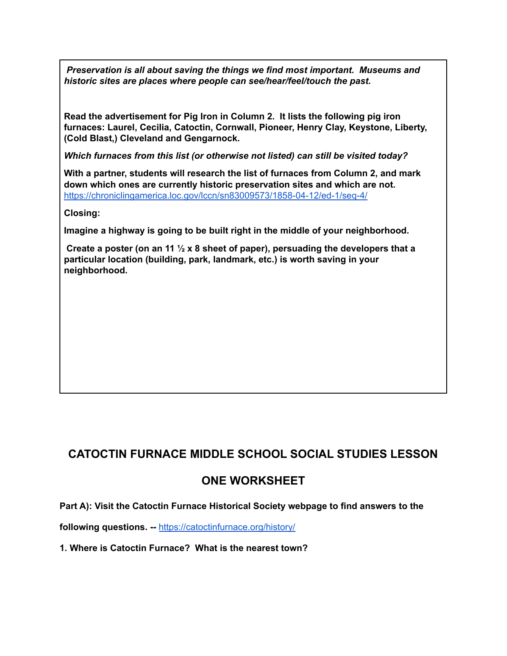*Preservation is all about saving the things we find most important. Museums and historic sites are places where people can see/hear/feel/touch the past.*

**Read the advertisement for Pig Iron in Column 2. It lists the following pig iron furnaces: Laurel, Cecilia, Catoctin, Cornwall, Pioneer, Henry Clay, Keystone, Liberty, (Cold Blast,) Cleveland and Gengarnock.**

*Which furnaces from this list (or otherwise not listed) can still be visited today?*

**With a partner, students will research the list of furnaces from Column 2, and mark down which ones are currently historic preservation sites and which are not.** <https://chroniclingamerica.loc.gov/lccn/sn83009573/1858-04-12/ed-1/seq-4/>

**Closing:**

**Imagine a highway is going to be built right in the middle of your neighborhood.**

**Create a poster (on an 11 ½ x 8 sheet of paper), persuading the developers that a particular location (building, park, landmark, etc.) is worth saving in your neighborhood.**

## **CATOCTIN FURNACE MIDDLE SCHOOL SOCIAL STUDIES LESSON**

#### **ONE WORKSHEET**

**Part A): Visit the Catoctin Furnace Historical Society webpage to find answers to the**

**following questions. --** <https://catoctinfurnace.org/history/>

**1. Where is Catoctin Furnace? What is the nearest town?**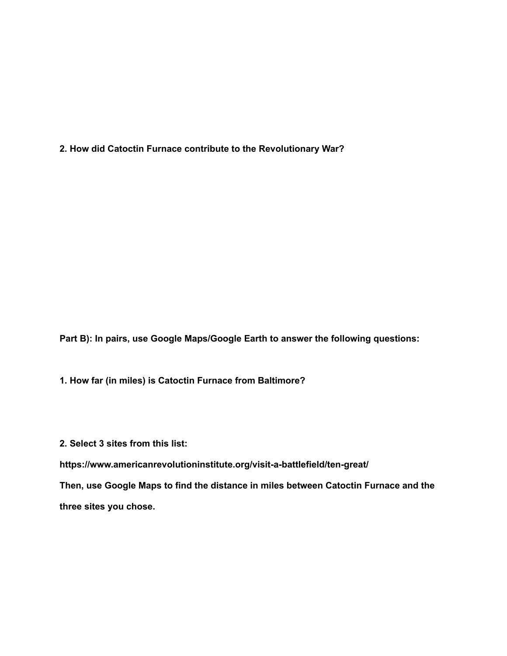**2. How did Catoctin Furnace contribute to the Revolutionary War?**

**Part B): In pairs, use Google Maps/Google Earth to answer the following questions:**

**1. How far (in miles) is Catoctin Furnace from Baltimore?**

**2. Select 3 sites from this list:**

**https://www.americanrevolutioninstitute.org/visit-a-battlefield/ten-great/**

**Then, use Google Maps to find the distance in miles between Catoctin Furnace and the three sites you chose.**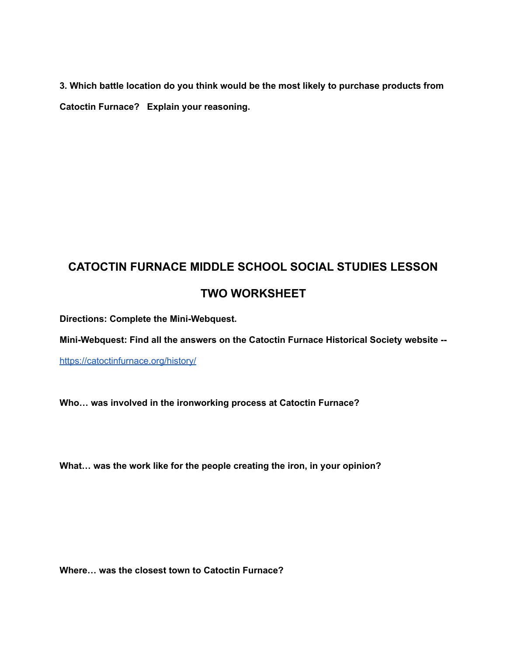**3. Which battle location do you think would be the most likely to purchase products from Catoctin Furnace? Explain your reasoning.**

# **CATOCTIN FURNACE MIDDLE SCHOOL SOCIAL STUDIES LESSON TWO WORKSHEET**

**Directions: Complete the Mini-Webquest.**

**Mini-Webquest: Find all the answers on the Catoctin Furnace Historical Society website --**

<https://catoctinfurnace.org/history/>

**Who… was involved in the ironworking process at Catoctin Furnace?**

**What… was the work like for the people creating the iron, in your opinion?**

**Where… was the closest town to Catoctin Furnace?**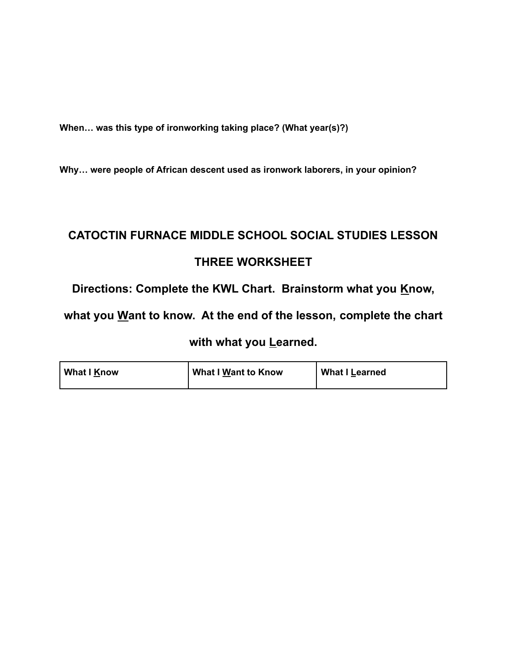**When… was this type of ironworking taking place? (What year(s)?)**

**Why… were people of African descent used as ironwork laborers, in your opinion?**

# **CATOCTIN FURNACE MIDDLE SCHOOL SOCIAL STUDIES LESSON THREE WORKSHEET**

**Directions: Complete the KWL Chart. Brainstorm what you Know,**

**what you Want to know. At the end of the lesson, complete the chart**

#### **with what you Learned.**

| What I Know | What I Want to Know | <b>What I Learned</b> |
|-------------|---------------------|-----------------------|
|-------------|---------------------|-----------------------|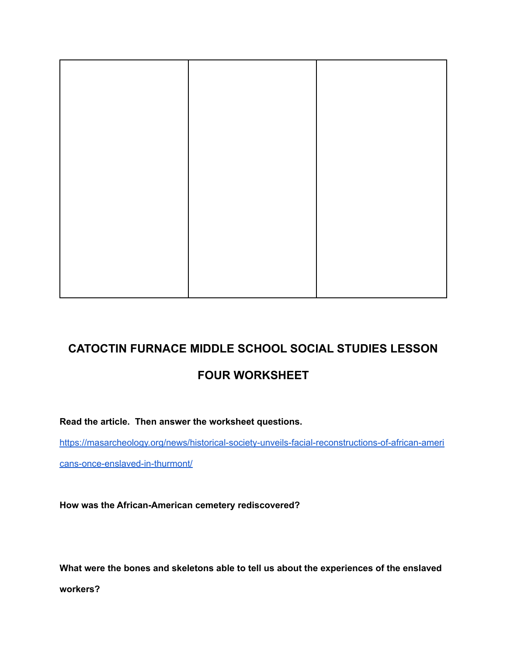# **FOUR WORKSHEET**

**Read the article. Then answer the worksheet questions.**

[https://masarcheology.org/news/historical-society-unveils-facial-reconstructions-of-african-ameri](https://masarcheology.org/news/historical-society-unveils-facial-reconstructions-of-african-americans-once-enslaved-in-thurmont/)

[cans-once-enslaved-in-thurmont/](https://masarcheology.org/news/historical-society-unveils-facial-reconstructions-of-african-americans-once-enslaved-in-thurmont/)

**How was the African-American cemetery rediscovered?**

**What were the bones and skeletons able to tell us about the experiences of the enslaved**

**workers?**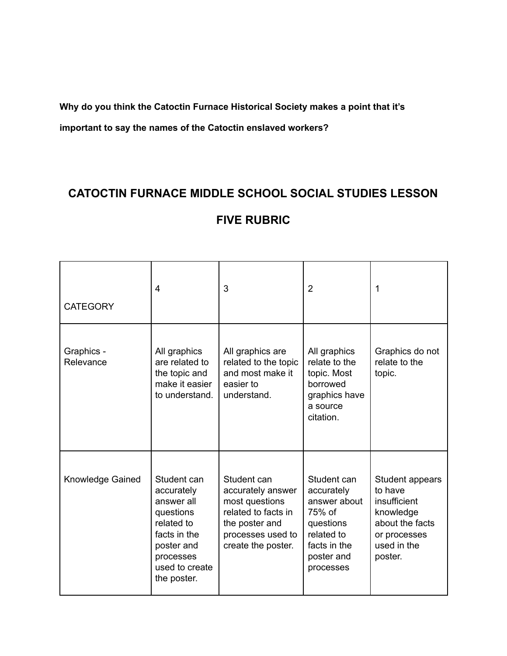**Why do you think the Catoctin Furnace Historical Society makes a point that it's**

**important to say the names of the Catoctin enslaved workers?**

# **CATOCTIN FURNACE MIDDLE SCHOOL SOCIAL STUDIES LESSON**

#### **FIVE RUBRIC**

| <b>CATEGORY</b>         | 4                                                                                                                                              | 3                                                                                                                                      | $\overline{2}$                                                                                                            | 1                                                                                                                    |
|-------------------------|------------------------------------------------------------------------------------------------------------------------------------------------|----------------------------------------------------------------------------------------------------------------------------------------|---------------------------------------------------------------------------------------------------------------------------|----------------------------------------------------------------------------------------------------------------------|
| Graphics -<br>Relevance | All graphics<br>are related to<br>the topic and<br>make it easier<br>to understand.                                                            | All graphics are<br>related to the topic<br>and most make it<br>easier to<br>understand.                                               | All graphics<br>relate to the<br>topic. Most<br>borrowed<br>graphics have<br>a source<br>citation.                        | Graphics do not<br>relate to the<br>topic.                                                                           |
| <b>Knowledge Gained</b> | Student can<br>accurately<br>answer all<br>questions<br>related to<br>facts in the<br>poster and<br>processes<br>used to create<br>the poster. | Student can<br>accurately answer<br>most questions<br>related to facts in<br>the poster and<br>processes used to<br>create the poster. | Student can<br>accurately<br>answer about<br>75% of<br>questions<br>related to<br>facts in the<br>poster and<br>processes | Student appears<br>to have<br>insufficient<br>knowledge<br>about the facts<br>or processes<br>used in the<br>poster. |